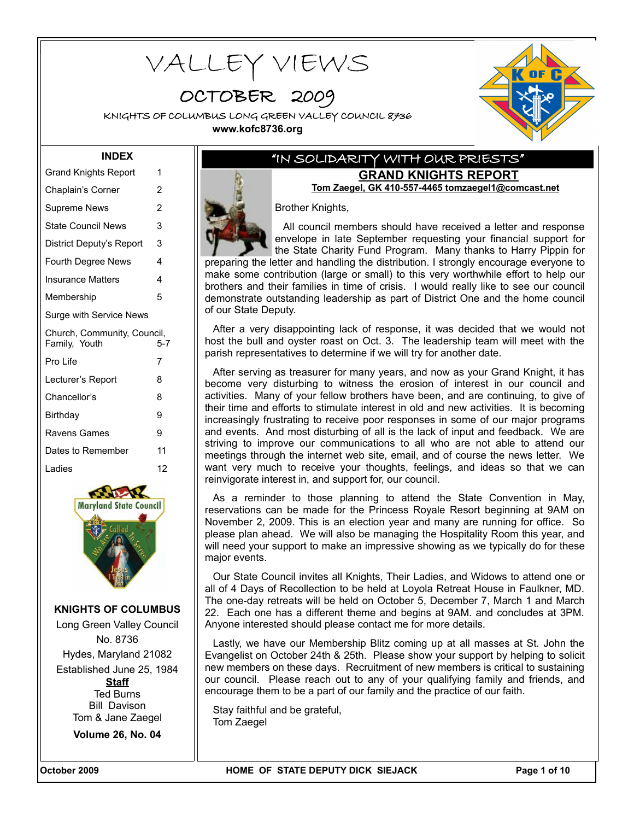# VALLEY VIEWS

OCTOBER 2009

KNIGHTS OF COLUMBUS LONG GREEN VALLEY COUNCIL 8736 **www.kofc8736.org**



#### **INDEX**

| <b>Grand Knights Report</b>                  | 1              |
|----------------------------------------------|----------------|
| Chaplain's Corner                            | 2              |
| Supreme News                                 | $\overline{2}$ |
| <b>State Council News</b>                    | 3              |
| District Deputy's Report                     | 3              |
| Fourth Degree News                           | 4              |
| <b>Insurance Matters</b>                     | 4              |
| Membership                                   | 5              |
| Surge with Service News                      |                |
|                                              |                |
| Church, Community, Council,<br>Family, Youth | 5-7            |
| Pro Life                                     | 7              |
| Lecturer's Report                            | 8              |
| Chancellor's                                 | 8              |
| Birthday                                     | 9              |
| Ravens Games                                 | 9              |
| Dates to Remember                            | 11             |
| Ladies                                       | 12             |



**KNIGHTS OF COLUMBUS** Long Green Valley Council

No. 8736 Hydes, Maryland 21082 Established June 25, 1984 **Staff** Ted Burns Bill Davison Tom & Jane Zaegel

**Volume 26, No. 04**

### "IN SOLIDARITY WITH OUR PRIESTS" **GRAND KNIGHTS REPORT**

**Tom Zaegel, GK 410-557-4465 tomzaegel1@comcast.net**

Brother Knights,

All council members should have received a letter and response envelope in late September requesting your financial support for the State Charity Fund Program. Many thanks to Harry Pippin for

preparing the letter and handling the distribution. I strongly encourage everyone to make some contribution (large or small) to this very worthwhile effort to help our brothers and their families in time of crisis. I would really like to see our council demonstrate outstanding leadership as part of District One and the home council of our State Deputy.

After a very disappointing lack of response, it was decided that we would not host the bull and oyster roast on Oct. 3. The leadership team will meet with the parish representatives to determine if we will try for another date.

After serving as treasurer for many years, and now as your Grand Knight, it has become very disturbing to witness the erosion of interest in our council and activities. Many of your fellow brothers have been, and are continuing, to give of their time and efforts to stimulate interest in old and new activities. It is becoming increasingly frustrating to receive poor responses in some of our major programs and events. And most disturbing of all is the lack of input and feedback. We are striving to improve our communications to all who are not able to attend our meetings through the internet web site, email, and of course the news letter. We want very much to receive your thoughts, feelings, and ideas so that we can reinvigorate interest in, and support for, our council.

As a reminder to those planning to attend the State Convention in May, reservations can be made for the Princess Royale Resort beginning at 9AM on November 2, 2009. This is an election year and many are running for office. So please plan ahead. We will also be managing the Hospitality Room this year, and will need your support to make an impressive showing as we typically do for these major events.

Our State Council invites all Knights, Their Ladies, and Widows to attend one or all of 4 Days of Recollection to be held at Loyola Retreat House in Faulkner, MD. The one-day retreats will be held on October 5, December 7, March 1 and March 22. Each one has a different theme and begins at 9AM. and concludes at 3PM. Anyone interested should please contact me for more details.

Lastly, we have our Membership Blitz coming up at all masses at St. John the Evangelist on October 24th & 25th. Please show your support by helping to solicit new members on these days. Recruitment of new members is critical to sustaining our council. Please reach out to any of your qualifying family and friends, and encourage them to be a part of our family and the practice of our faith.

Stay faithful and be grateful, Tom Zaegel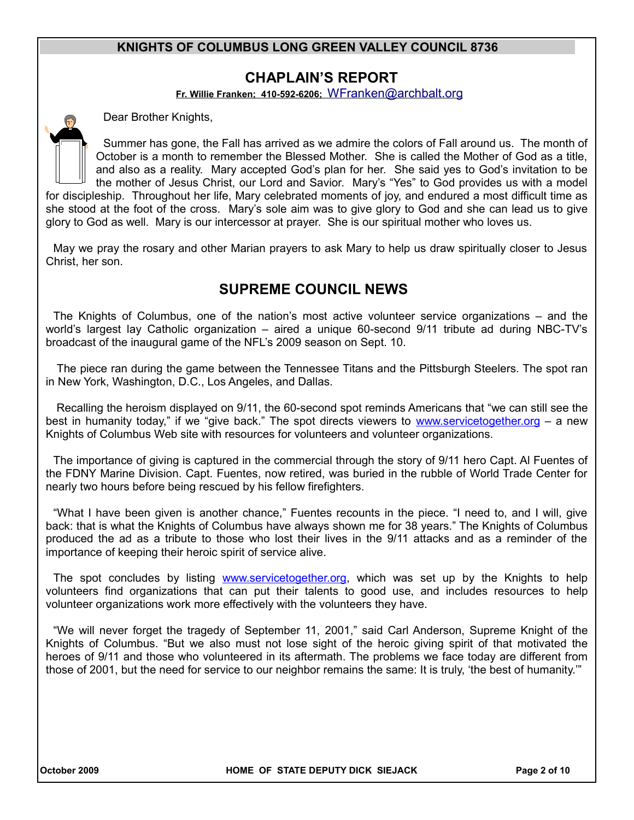## **CHAPLAIN'S REPORT**

**Fr. Willie Franken; 410-592-6206;** [WFranken@archbalt.org](mailto:WFranken@archbalt.org)

Dear Brother Knights,

Summer has gone, the Fall has arrived as we admire the colors of Fall around us. The month of October is a month to remember the Blessed Mother. She is called the Mother of God as a title, and also as a reality. Mary accepted God's plan for her. She said yes to God's invitation to be the mother of Jesus Christ, our Lord and Savior. Mary's "Yes" to God provides us with a model for discipleship. Throughout her life, Mary celebrated moments of joy, and endured a most difficult time as she stood at the foot of the cross. Mary's sole aim was to give glory to God and she can lead us to give glory to God as well. Mary is our intercessor at prayer. She is our spiritual mother who loves us.

May we pray the rosary and other Marian prayers to ask Mary to help us draw spiritually closer to Jesus Christ, her son.

# **SUPREME COUNCIL NEWS**

The Knights of Columbus, one of the nation's most active volunteer service organizations – and the world's largest lay Catholic organization – aired a unique 60-second 9/11 tribute ad during NBC-TV's broadcast of the inaugural game of the NFL's 2009 season on Sept. 10.

The piece ran during the game between the Tennessee Titans and the Pittsburgh Steelers. The spot ran in New York, Washington, D.C., Los Angeles, and Dallas.

 Recalling the heroism displayed on 9/11, the 60-second spot reminds Americans that "we can still see the best in humanity today," if we "give back." The spot directs viewers to www.servicetogether.org - a new Knights of Columbus Web site with resources for volunteers and volunteer organizations.

The importance of giving is captured in the commercial through the story of 9/11 hero Capt. Al Fuentes of the FDNY Marine Division. Capt. Fuentes, now retired, was buried in the rubble of World Trade Center for nearly two hours before being rescued by his fellow firefighters.

"What I have been given is another chance," Fuentes recounts in the piece. "I need to, and I will, give back: that is what the Knights of Columbus have always shown me for 38 years." The Knights of Columbus produced the ad as a tribute to those who lost their lives in the 9/11 attacks and as a reminder of the importance of keeping their heroic spirit of service alive.

The spot concludes by listing www.servicetogether.org, which was set up by the Knights to help volunteers find organizations that can put their talents to good use, and includes resources to help volunteer organizations work more effectively with the volunteers they have.

"We will never forget the tragedy of September 11, 2001," said Carl Anderson, Supreme Knight of the Knights of Columbus. "But we also must not lose sight of the heroic giving spirit of that motivated the heroes of 9/11 and those who volunteered in its aftermath. The problems we face today are different from those of 2001, but the need for service to our neighbor remains the same: It is truly, 'the best of humanity.'"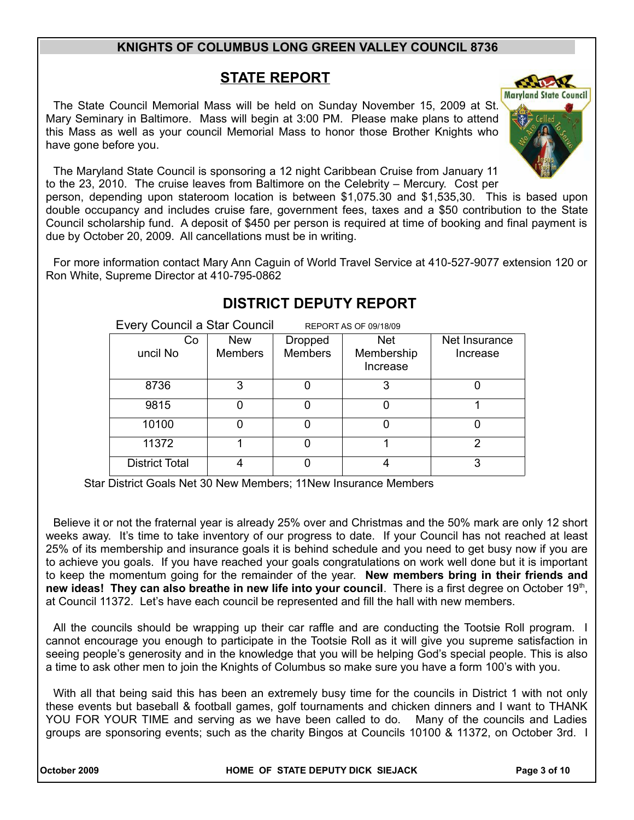# **STATE REPORT**

**Maryland State Council** The State Council Memorial Mass will be held on Sunday November 15, 2009 at St. Mary Seminary in Baltimore. Mass will begin at 3:00 PM. Please make plans to attend this Mass as well as your council Memorial Mass to honor those Brother Knights who have gone before you.

The Maryland State Council is sponsoring a 12 night Caribbean Cruise from January 11 to the 23, 2010. The cruise leaves from Baltimore on the Celebrity – Mercury. Cost per

person, depending upon stateroom location is between \$1,075.30 and \$1,535,30. This is based upon double occupancy and includes cruise fare, government fees, taxes and a \$50 contribution to the State Council scholarship fund. A deposit of \$450 per person is required at time of booking and final payment is due by October 20, 2009. All cancellations must be in writing.

For more information contact Mary Ann Caguin of World Travel Service at 410-527-9077 extension 120 or Ron White, Supreme Director at 410-795-0862

| Every Council a Star Council<br>REPORT AS OF 09/18/09 |                |                |                        |               |
|-------------------------------------------------------|----------------|----------------|------------------------|---------------|
| Co                                                    | <b>New</b>     | <b>Dropped</b> | <b>Net</b>             | Net Insurance |
| uncil No                                              | <b>Members</b> | <b>Members</b> | Membership<br>Increase | Increase      |
| 8736                                                  | 3              |                | 3                      |               |
| 9815                                                  | 0              |                |                        |               |
| 10100                                                 | 0              |                |                        |               |
| 11372                                                 |                |                |                        | 2             |
| <b>District Total</b>                                 | 4              |                |                        | 3             |

# **DISTRICT DEPUTY REPORT**

Star District Goals Net 30 New Members; 11New Insurance Members

Believe it or not the fraternal year is already 25% over and Christmas and the 50% mark are only 12 short weeks away. It's time to take inventory of our progress to date. If your Council has not reached at least 25% of its membership and insurance goals it is behind schedule and you need to get busy now if you are to achieve you goals. If you have reached your goals congratulations on work well done but it is important to keep the momentum going for the remainder of the year. **New members bring in their friends and** new ideas! They can also breathe in new life into your council. There is a first degree on October 19<sup>th</sup>, at Council 11372. Let's have each council be represented and fill the hall with new members.

All the councils should be wrapping up their car raffle and are conducting the Tootsie Roll program. I cannot encourage you enough to participate in the Tootsie Roll as it will give you supreme satisfaction in seeing people's generosity and in the knowledge that you will be helping God's special people. This is also a time to ask other men to join the Knights of Columbus so make sure you have a form 100's with you.

With all that being said this has been an extremely busy time for the councils in District 1 with not only these events but baseball & football games, golf tournaments and chicken dinners and I want to THANK YOU FOR YOUR TIME and serving as we have been called to do. Many of the councils and Ladies groups are sponsoring events; such as the charity Bingos at Councils 10100 & 11372, on October 3rd. I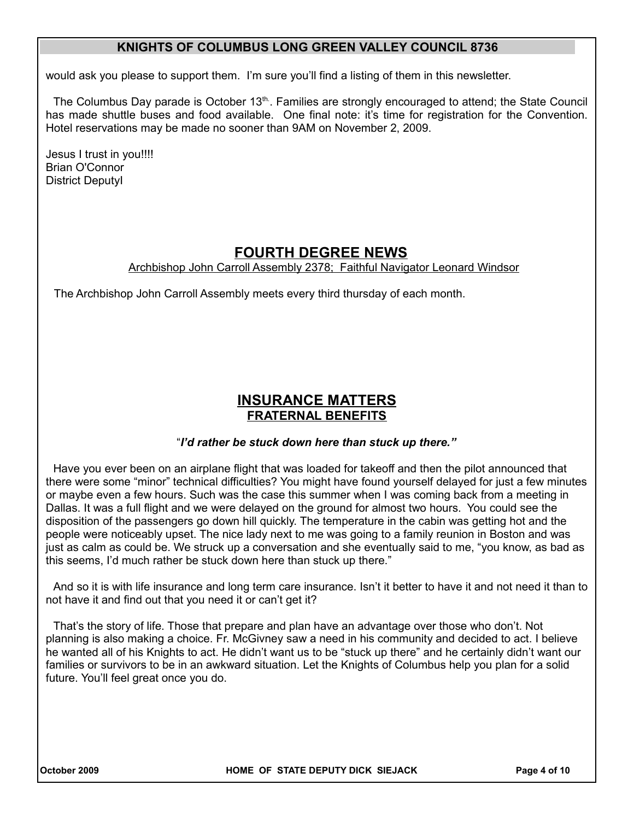would ask you please to support them. I'm sure you'll find a listing of them in this newsletter.

The Columbus Day parade is October  $13<sup>th</sup>$ . Families are strongly encouraged to attend; the State Council has made shuttle buses and food available. One final note: it's time for registration for the Convention. Hotel reservations may be made no sooner than 9AM on November 2, 2009.

Jesus I trust in you!!!! Brian O'Connor District DeputyI

# **FOURTH DEGREE NEWS**

Archbishop John Carroll Assembly 2378; Faithful Navigator Leonard Windsor

The Archbishop John Carroll Assembly meets every third thursday of each month.

## **INSURANCE MATTERS FRATERNAL BENEFITS**

#### "*I'd rather be stuck down here than stuck up there."*

Have you ever been on an airplane flight that was loaded for takeoff and then the pilot announced that there were some "minor" technical difficulties? You might have found yourself delayed for just a few minutes or maybe even a few hours. Such was the case this summer when I was coming back from a meeting in Dallas. It was a full flight and we were delayed on the ground for almost two hours. You could see the disposition of the passengers go down hill quickly. The temperature in the cabin was getting hot and the people were noticeably upset. The nice lady next to me was going to a family reunion in Boston and was just as calm as could be. We struck up a conversation and she eventually said to me, "you know, as bad as this seems, I'd much rather be stuck down here than stuck up there."

And so it is with life insurance and long term care insurance. Isn't it better to have it and not need it than to not have it and find out that you need it or can't get it?

That's the story of life. Those that prepare and plan have an advantage over those who don't. Not planning is also making a choice. Fr. McGivney saw a need in his community and decided to act. I believe he wanted all of his Knights to act. He didn't want us to be "stuck up there" and he certainly didn't want our families or survivors to be in an awkward situation. Let the Knights of Columbus help you plan for a solid future. You'll feel great once you do.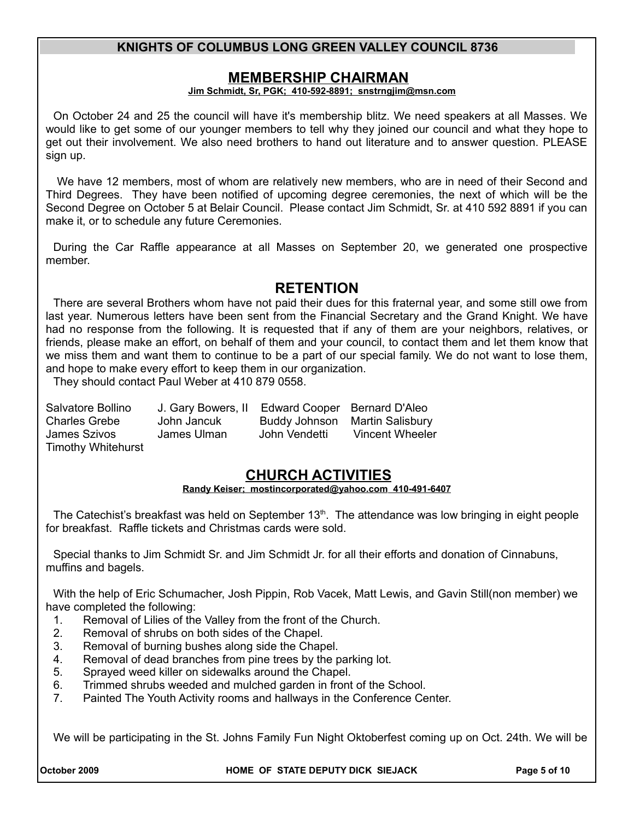### **MEMBERSHIP CHAIRMAN**

#### **Jim Schmidt, Sr, PGK; 410-592-8891; snstrngjim@msn.com**

On October 24 and 25 the council will have it's membership blitz. We need speakers at all Masses. We would like to get some of our younger members to tell why they joined our council and what they hope to get out their involvement. We also need brothers to hand out literature and to answer question. PLEASE sign up.

 We have 12 members, most of whom are relatively new members, who are in need of their Second and Third Degrees. They have been notified of upcoming degree ceremonies, the next of which will be the Second Degree on October 5 at Belair Council. Please contact Jim Schmidt, Sr. at 410 592 8891 if you can make it, or to schedule any future Ceremonies.

During the Car Raffle appearance at all Masses on September 20, we generated one prospective member.

## **RETENTION**

There are several Brothers whom have not paid their dues for this fraternal year, and some still owe from last year. Numerous letters have been sent from the Financial Secretary and the Grand Knight. We have had no response from the following. It is requested that if any of them are your neighbors, relatives, or friends, please make an effort, on behalf of them and your council, to contact them and let them know that we miss them and want them to continue to be a part of our special family. We do not want to lose them, and hope to make every effort to keep them in our organization.

They should contact Paul Weber at 410 879 0558.

| Salvatore Bollino         | J. Gary Bowers, II | Edward Cooper Bernard D'Aleo |                                |
|---------------------------|--------------------|------------------------------|--------------------------------|
| <b>Charles Grebe</b>      | John Jancuk        |                              | Buddy Johnson Martin Salisbury |
| James Szivos              | James Ulman        | John Vendetti                | Vincent Wheeler                |
| <b>Timothy Whitehurst</b> |                    |                              |                                |

# **CHURCH ACTIVITIES**

#### **Randy Keiser; [mostincorporated@yahoo.com](mailto:mostincorporated@yahoo.com) 410-491-6407**

The Catechist's breakfast was held on September  $13<sup>th</sup>$ . The attendance was low bringing in eight people for breakfast. Raffle tickets and Christmas cards were sold.

Special thanks to Jim Schmidt Sr. and Jim Schmidt Jr. for all their efforts and donation of Cinnabuns, muffins and bagels.

With the help of Eric Schumacher, Josh Pippin, Rob Vacek, Matt Lewis, and Gavin Still(non member) we have completed the following:

- 1. Removal of Lilies of the Valley from the front of the Church.
- 2. Removal of shrubs on both sides of the Chapel.
- 3. Removal of burning bushes along side the Chapel.
- 4. Removal of dead branches from pine trees by the parking lot.
- 5. Sprayed weed killer on sidewalks around the Chapel.
- 6. Trimmed shrubs weeded and mulched garden in front of the School.
- 7. Painted The Youth Activity rooms and hallways in the Conference Center.

We will be participating in the St. Johns Family Fun Night Oktoberfest coming up on Oct. 24th. We will be

**October 2009 HOME OF STATE DEPUTY DICK SIEJACK Page 5 of 10**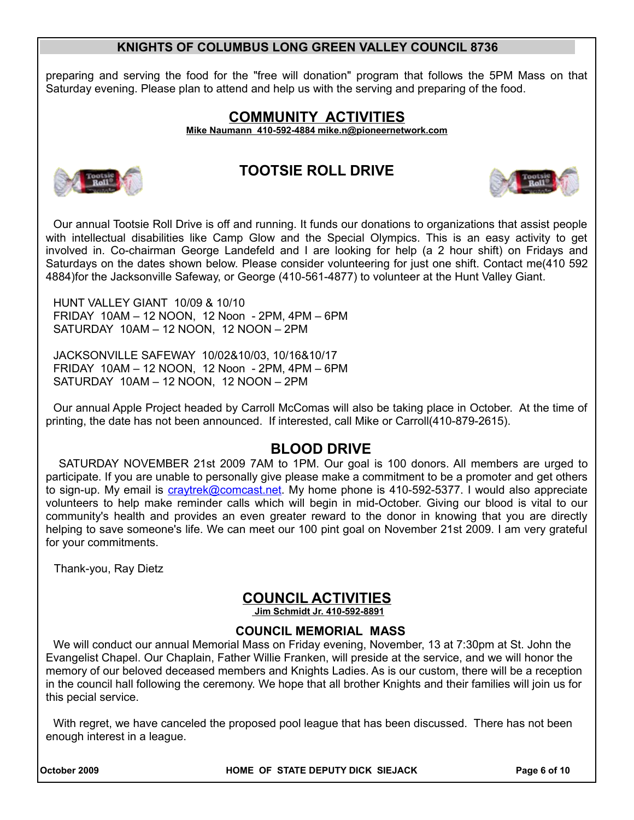preparing and serving the food for the "free will donation" program that follows the 5PM Mass on that Saturday evening. Please plan to attend and help us with the serving and preparing of the food.

# **COMMUNITY ACTIVITIES**

 **Mike Naumann 410-592-4884 mike.n@pioneernetwork.com**



## **TOOTSIE ROLL DRIVE**



Our annual Tootsie Roll Drive is off and running. It funds our donations to organizations that assist people with intellectual disabilities like Camp Glow and the Special Olympics. This is an easy activity to get involved in. Co-chairman George Landefeld and I are looking for help (a 2 hour shift) on Fridays and Saturdays on the dates shown below. Please consider volunteering for just one shift. Contact me(410 592 4884)for the Jacksonville Safeway, or George (410-561-4877) to volunteer at the Hunt Valley Giant.

HUNT VALLEY GIANT 10/09 & 10/10 FRIDAY 10AM – 12 NOON, 12 Noon - 2PM, 4PM – 6PM SATURDAY 10AM – 12 NOON, 12 NOON – 2PM

JACKSONVILLE SAFEWAY 10/02&10/03, 10/16&10/17 FRIDAY 10AM – 12 NOON, 12 Noon - 2PM, 4PM – 6PM SATURDAY 10AM – 12 NOON, 12 NOON – 2PM

Our annual Apple Project headed by Carroll McComas will also be taking place in October. At the time of printing, the date has not been announced. If interested, call Mike or Carroll(410-879-2615).

# **BLOOD DRIVE**

 SATURDAY NOVEMBER 21st 2009 7AM to 1PM. Our goal is 100 donors. All members are urged to participate. If you are unable to personally give please make a commitment to be a promoter and get others to sign-up. My email is craytrek@comcast.net. My home phone is 410-592-5377. I would also appreciate volunteers to help make reminder calls which will begin in mid-October. Giving our blood is vital to our community's health and provides an even greater reward to the donor in knowing that you are directly helping to save someone's life. We can meet our 100 pint goal on November 21st 2009. I am very grateful for your commitments.

Thank-you, Ray Dietz

# **COUNCIL ACTIVITIES**

 **Jim Schmidt Jr. 410-592-8891**

### **COUNCIL MEMORIAL MASS**

We will conduct our annual Memorial Mass on Friday evening, November, 13 at 7:30pm at St. John the Evangelist Chapel. Our Chaplain, Father Willie Franken, will preside at the service, and we will honor the memory of our beloved deceased members and Knights Ladies. As is our custom, there will be a reception in the council hall following the ceremony. We hope that all brother Knights and their families will join us for this pecial service.

With regret, we have canceled the proposed pool league that has been discussed. There has not been enough interest in a league.

**October 2009 HOME OF STATE DEPUTY DICK SIEJACK Page 6 of 10**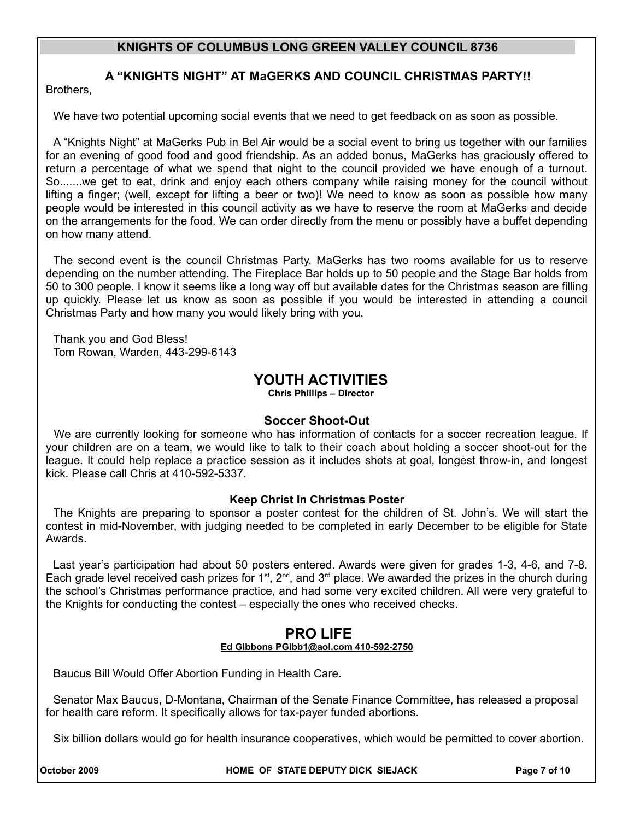## **A "KNIGHTS NIGHT" AT MaGERKS AND COUNCIL CHRISTMAS PARTY!!**

Brothers,

We have two potential upcoming social events that we need to get feedback on as soon as possible.

A "Knights Night" at MaGerks Pub in Bel Air would be a social event to bring us together with our families for an evening of good food and good friendship. As an added bonus, MaGerks has graciously offered to return a percentage of what we spend that night to the council provided we have enough of a turnout. So.......we get to eat, drink and enjoy each others company while raising money for the council without lifting a finger; (well, except for lifting a beer or two)! We need to know as soon as possible how many people would be interested in this council activity as we have to reserve the room at MaGerks and decide on the arrangements for the food. We can order directly from the menu or possibly have a buffet depending on how many attend.

The second event is the council Christmas Party. MaGerks has two rooms available for us to reserve depending on the number attending. The Fireplace Bar holds up to 50 people and the Stage Bar holds from 50 to 300 people. I know it seems like a long way off but available dates for the Christmas season are filling up quickly. Please let us know as soon as possible if you would be interested in attending a council Christmas Party and how many you would likely bring with you.

Thank you and God Bless! Tom Rowan, Warden, 443-299-6143

## **YOUTH ACTIVITIES**

**Chris Phillips – Director**

#### **Soccer Shoot-Out**

We are currently looking for someone who has information of contacts for a soccer recreation league. If your children are on a team, we would like to talk to their coach about holding a soccer shoot-out for the league. It could help replace a practice session as it includes shots at goal, longest throw-in, and longest kick. Please call Chris at 410-592-5337.

#### **Keep Christ In Christmas Poster**

The Knights are preparing to sponsor a poster contest for the children of St. John's. We will start the contest in mid-November, with judging needed to be completed in early December to be eligible for State Awards.

Last year's participation had about 50 posters entered. Awards were given for grades 1-3, 4-6, and 7-8. Each grade level received cash prizes for 1<sup>st</sup>, 2<sup>nd</sup>, and 3<sup>rd</sup> place. We awarded the prizes in the church during the school's Christmas performance practice, and had some very excited children. All were very grateful to the Knights for conducting the contest – especially the ones who received checks.

#### **PRO LIFE Ed Gibbons PGibb1@aol.com 410-592-2750**

Baucus Bill Would Offer Abortion Funding in Health Care.

Senator Max Baucus, D-Montana, Chairman of the Senate Finance Committee, has released a proposal for health care reform. It specifically allows for tax-payer funded abortions.

Six billion dollars would go for health insurance cooperatives, which would be permitted to cover abortion.

**October 2009 HOME OF STATE DEPUTY DICK SIEJACK Page 7 of 10**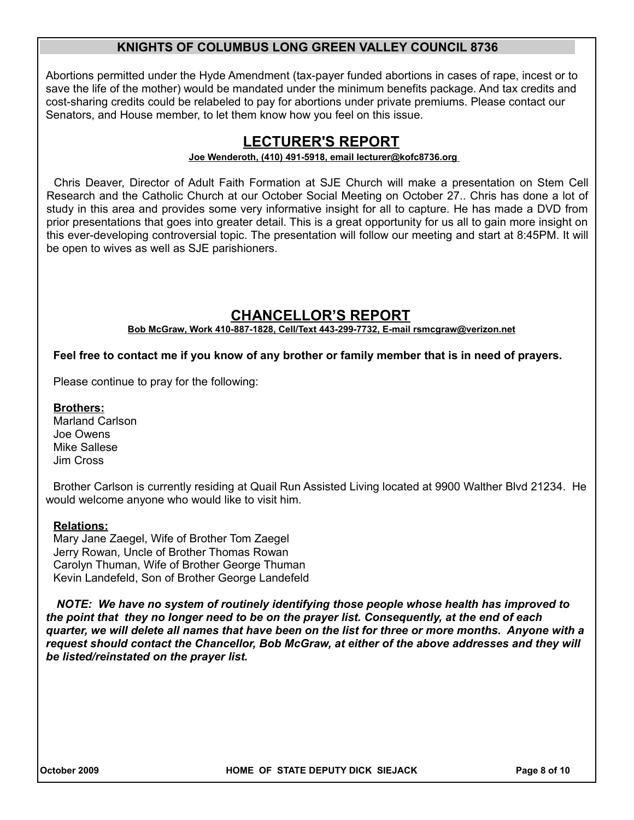Abortions permitted under the Hyde Amendment (tax-payer funded abortions in cases of rape, incest or to save the life of the mother) would be mandated under the minimum benefits package. And tax credits and cost-sharing credits could be relabeled to pay for abortions under private premiums. Please contact our Senators, and House member, to let them know how you feel on this issue.

## **LECTURER'S REPORT**

#### **Joe Wenderoth, (410) 491-5918, email lecturer@kofc8736.org**

Chris Deaver, Director of Adult Faith Formation at SJE Church will make a presentation on Stem Cell Research and the Catholic Church at our October Social Meeting on October 27.. Chris has done a lot of study in this area and provides some very informative insight for all to capture. He has made a DVD from prior presentations that goes into greater detail. This is a great opportunity for us all to gain more insight on this ever-developing controversial topic. The presentation will follow our meeting and start at 8:45PM. It will be open to wives as well as SJE parishioners.

## **CHANCELLOR'S REPORT**

**Bob McGraw, Work 410-887-1828, Cell/Text 443-299-7732, E-mail rsmcgraw@verizon.net**

**Feel free to contact me if you know of any brother or family member that is in need of prayers.** 

Please continue to pray for the following:

#### **Brothers:**

Marland Carlson Joe Owens Mike Sallese Jim Cross

Brother Carlson is currently residing at Quail Run Assisted Living located at 9900 Walther Blvd 21234. He would welcome anyone who would like to visit him.

#### **Relations:**

Mary Jane Zaegel, Wife of Brother Tom Zaegel Jerry Rowan, Uncle of Brother Thomas Rowan Carolyn Thuman, Wife of Brother George Thuman Kevin Landefeld, Son of Brother George Landefeld

*NOTE: We have no system of routinely identifying those people whose health has improved to the point that they no longer need to be on the prayer list. Consequently, at the end of each quarter, we will delete all names that have been on the list for three or more months. Anyone with a request should contact the Chancellor, Bob McGraw, at either of the above addresses and they will be listed/reinstated on the prayer list.*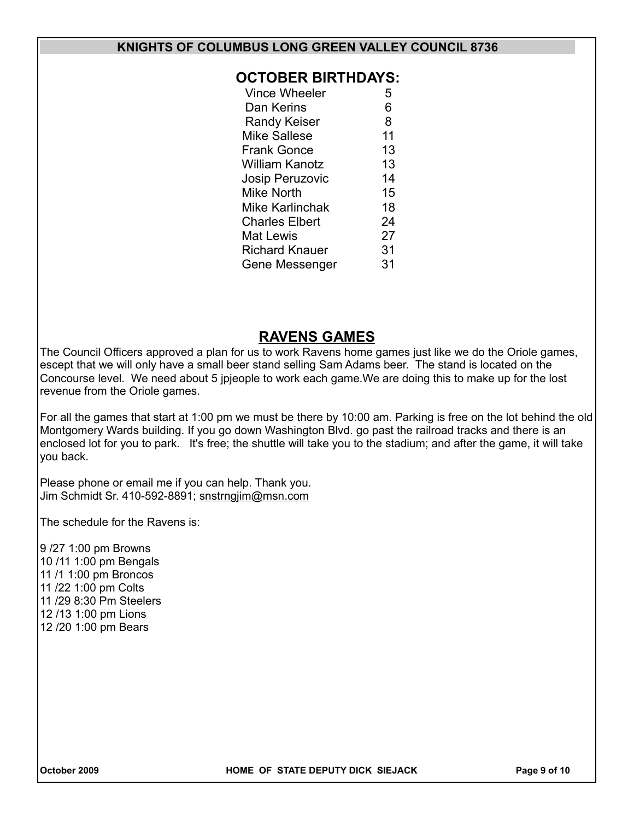### **OCTOBER BIRTHDAYS:**

| Vince Wheeler          | 5  |
|------------------------|----|
| Dan Kerins             | 6  |
| <b>Randy Keiser</b>    | 8  |
| <b>Mike Sallese</b>    | 11 |
| <b>Frank Gonce</b>     | 13 |
| William Kanotz         | 13 |
| <b>Josip Peruzovic</b> | 14 |
| <b>Mike North</b>      | 15 |
| Mike Karlinchak        | 18 |
| <b>Charles Elbert</b>  | 24 |
| Mat Lewis              | 27 |
| Richard Knauer         | 31 |
| Gene Messenger         | 31 |
|                        |    |

## **RAVENS GAMES**

The Council Officers approved a plan for us to work Ravens home games just like we do the Oriole games, escept that we will only have a small beer stand selling Sam Adams beer. The stand is located on the Concourse level. We need about 5 jpjeople to work each game.We are doing this to make up for the lost revenue from the Oriole games.

For all the games that start at 1:00 pm we must be there by 10:00 am. Parking is free on the lot behind the old Montgomery Wards building. If you go down Washington Blvd. go past the railroad tracks and there is an enclosed lot for you to park. It's free; the shuttle will take you to the stadium; and after the game, it will take you back.

Please phone or email me if you can help. Thank you. Jim Schmidt Sr. 410-592-8891; snstrngjim@msn.com

The schedule for the Ravens is:

9 /27 1:00 pm Browns 10 /11 1:00 pm Bengals 11 /1 1:00 pm Broncos 11 /22 1:00 pm Colts 11 /29 8:30 Pm Steelers 12 /13 1:00 pm Lions 12 /20 1:00 pm Bears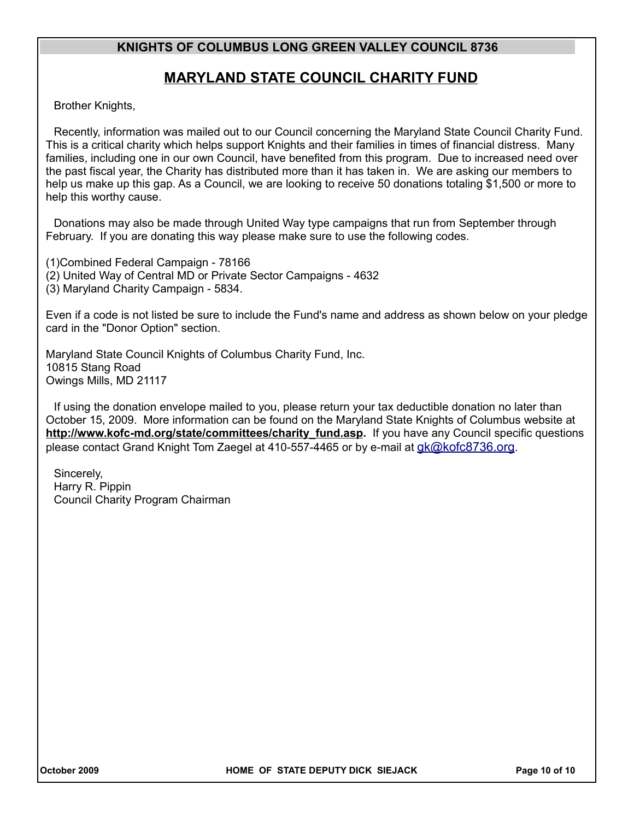## **MARYLAND STATE COUNCIL CHARITY FUND**

Brother Knights,

Recently, information was mailed out to our Council concerning the Maryland State Council Charity Fund. This is a critical charity which helps support Knights and their families in times of financial distress. Many families, including one in our own Council, have benefited from this program. Due to increased need over the past fiscal year, the Charity has distributed more than it has taken in. We are asking our members to help us make up this gap. As a Council, we are looking to receive 50 donations totaling \$1,500 or more to help this worthy cause.

Donations may also be made through United Way type campaigns that run from September through February. If you are donating this way please make sure to use the following codes.

(1)Combined Federal Campaign - 78166 (2) United Way of Central MD or Private Sector Campaigns - 4632 (3) Maryland Charity Campaign - 5834.

Even if a code is not listed be sure to include the Fund's name and address as shown below on your pledge card in the "Donor Option" section.

Maryland State Council Knights of Columbus Charity Fund, Inc. 10815 Stang Road Owings Mills, MD 21117

If using the donation envelope mailed to you, please return your tax deductible donation no later than October 15, 2009. More information can be found on the Maryland State Knights of Columbus website at **http://www.kofc-md.org/state/committees/charity\_fund.asp.** If you have any Council specific questions please contact Grand Knight Tom Zaegel at 410-557-4465 or by e-mail at [gk@kofc8736.org](mailto:gk@kofc8736.org).

Sincerely, Harry R. Pippin Council Charity Program Chairman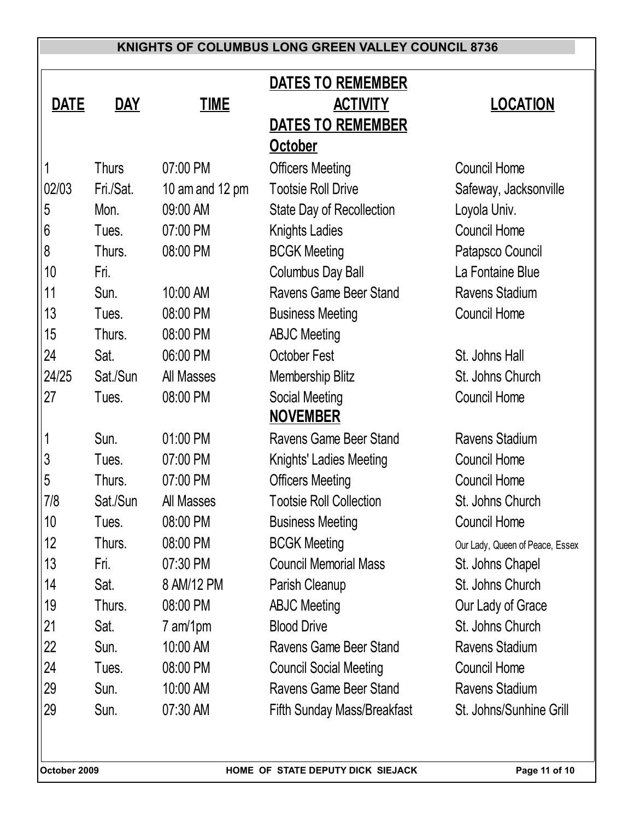|             |              |                 | <b>DATES TO REMEMBER</b>           |                                 |
|-------------|--------------|-----------------|------------------------------------|---------------------------------|
| <b>DATE</b> | <u>DAY</u>   | <b>TIME</b>     | <b>ACTIVITY</b>                    | <b>LOCATION</b>                 |
|             |              |                 | <b>DATES TO REMEMBER</b>           |                                 |
|             |              |                 | October                            |                                 |
| 1           | <b>Thurs</b> | 07:00 PM        | <b>Officers Meeting</b>            | <b>Council Home</b>             |
| 02/03       | Fri./Sat.    | 10 am and 12 pm | <b>Tootsie Roll Drive</b>          | Safeway, Jacksonville           |
| 5           | Mon.         | 09:00 AM        | <b>State Day of Recollection</b>   | Loyola Univ.                    |
| 6           | Tues.        | 07:00 PM        | <b>Knights Ladies</b>              | <b>Council Home</b>             |
| 8           | Thurs.       | 08:00 PM        | <b>BCGK Meeting</b>                | Patapsco Council                |
| 10          | Fri.         |                 | <b>Columbus Day Ball</b>           | La Fontaine Blue                |
| 11          | Sun.         | 10:00 AM        | Ravens Game Beer Stand             | Ravens Stadium                  |
| 13          | Tues.        | 08:00 PM        | <b>Business Meeting</b>            | <b>Council Home</b>             |
| 15          | Thurs.       | 08:00 PM        | <b>ABJC Meeting</b>                |                                 |
| 24          | Sat.         | 06:00 PM        | October Fest                       | St. Johns Hall                  |
| 24/25       | Sat./Sun     | All Masses      | <b>Membership Blitz</b>            | St. Johns Church                |
| 27          | Tues.        | 08:00 PM        | Social Meeting                     | <b>Council Home</b>             |
|             |              |                 | <b>NOVEMBER</b>                    |                                 |
|             | Sun.         | 01:00 PM        | Ravens Game Beer Stand             | Ravens Stadium                  |
| 3           | Tues.        | 07:00 PM        | Knights' Ladies Meeting            | <b>Council Home</b>             |
| 5           | Thurs.       | 07:00 PM        | <b>Officers Meeting</b>            | <b>Council Home</b>             |
| 7/8         | Sat./Sun     | All Masses      | <b>Tootsie Roll Collection</b>     | St. Johns Church                |
| 10          | Tues.        | 08:00 PM        | <b>Business Meeting</b>            | <b>Council Home</b>             |
| 12          | Thurs.       | 08:00 PM        | <b>BCGK Meeting</b>                | Our Lady, Queen of Peace, Essex |
| 13          | Fri.         | 07:30 PM        | <b>Council Memorial Mass</b>       | St. Johns Chapel                |
| 14          | Sat.         | 8 AM/12 PM      | Parish Cleanup                     | St. Johns Church                |
| 19          | Thurs.       | 08:00 PM        | <b>ABJC Meeting</b>                | Our Lady of Grace               |
| 21          | Sat.         | 7 am/1pm        | <b>Blood Drive</b>                 | St. Johns Church                |
| 22          | Sun.         | 10:00 AM        | Ravens Game Beer Stand             | Ravens Stadium                  |
| 24          | Tues.        | 08:00 PM        | <b>Council Social Meeting</b>      | <b>Council Home</b>             |
| 29          | Sun.         | 10:00 AM        | Ravens Game Beer Stand             | Ravens Stadium                  |
| 29          | Sun.         | 07:30 AM        | <b>Fifth Sunday Mass/Breakfast</b> | St. Johns/Sunhine Grill         |
|             |              |                 |                                    |                                 |